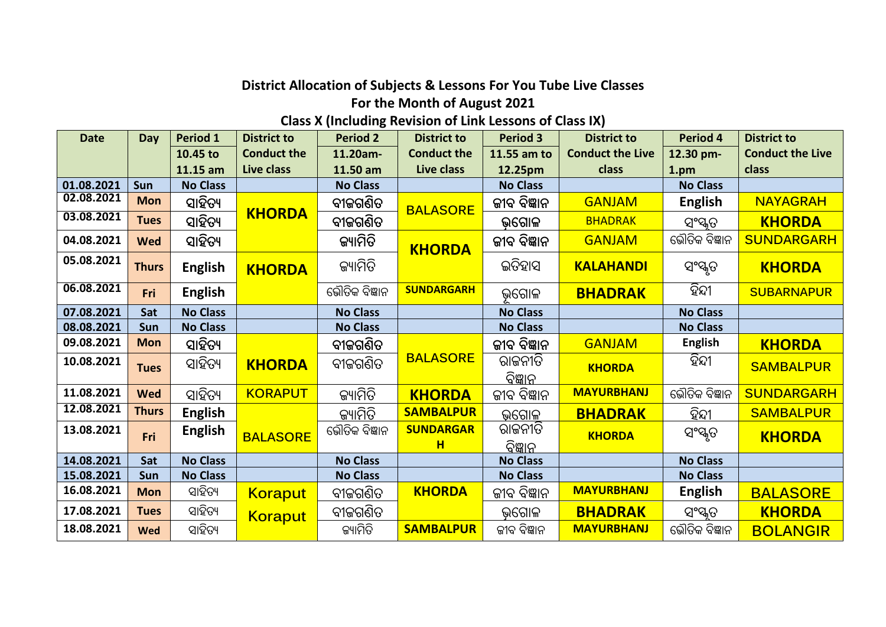## **District Allocation of Subjects & Lessons For You Tube Live Classes**

## **For the Month of August 2021**

## **Class X (Including Revision of Link Lessons of Class IX)**

| <b>Date</b> | Day          | <b>Period 1</b> | <b>District to</b> | <b>Period 2</b> | <b>District to</b>    | <b>Period 3</b>           | <b>District to</b>      | <b>Period 4</b> | <b>District to</b>      |
|-------------|--------------|-----------------|--------------------|-----------------|-----------------------|---------------------------|-------------------------|-----------------|-------------------------|
|             |              | 10.45 to        | <b>Conduct the</b> | 11.20am-        | <b>Conduct the</b>    | 11.55 am to               | <b>Conduct the Live</b> | 12.30 pm-       | <b>Conduct the Live</b> |
|             |              | 11.15 am        | Live class         | 11.50 am        | Live class            | 12.25pm                   | class                   | 1.pm            | class                   |
| 01.08.2021  | <b>Sun</b>   | <b>No Class</b> |                    | <b>No Class</b> |                       | <b>No Class</b>           |                         | <b>No Class</b> |                         |
| 02.08.2021  | <b>Mon</b>   | ସାହିତ୍ୟ         |                    | ବୀଜଗଣିତ         | <b>BALASORE</b>       | ଜୀବ ବିଜ୍ଞାନ               | <b>GANJAM</b>           | <b>English</b>  | <b>NAYAGRAH</b>         |
| 03.08.2021  | <b>Tues</b>  | ସାହିତ୍ୟ         | <b>KHORDA</b>      | ବୀଜଗଣିତ         |                       | ଭଗୋଳ                      | <b>BHADRAK</b>          | ସଂସ୍କୃତ         | <b>KHORDA</b>           |
| 04.08.2021  | <b>Wed</b>   | ସାହିତ୍ୟ         |                    | ଜ୍ୟାମିତି        | <b>KHORDA</b>         | ଜୀବ ବିଜ୍ଞାନ               | <b>GANJAM</b>           | ଭୌତିକ ବିଜ୍ଞାନ   | <b>SUNDARGARH</b>       |
| 05.08.2021  | <b>Thurs</b> | <b>English</b>  | <b>KHORDA</b>      | ଜ୍ୟାମିତି        |                       | ଇତିହାସ                    | <b>KALAHANDI</b>        | ସଂସ୍କୃତ         | <b>KHORDA</b>           |
| 06.08.2021  | Fri          | <b>English</b>  |                    | ଭୌତିକ ବିଜ୍ଞାନ   | <b>SUNDARGARH</b>     | ଭଗୋଳ                      | <b>BHADRAK</b>          | ହିନ୍ଦୀ          | <b>SUBARNAPUR</b>       |
| 07.08.2021  | Sat          | <b>No Class</b> |                    | <b>No Class</b> |                       | <b>No Class</b>           |                         | <b>No Class</b> |                         |
| 08.08.2021  | Sun          | <b>No Class</b> |                    | <b>No Class</b> |                       | <b>No Class</b>           |                         | <b>No Class</b> |                         |
| 09.08.2021  | <b>Mon</b>   | ସାହିତ୍ୟ         |                    | ବୀଜଗଣିତ         |                       | ଜୀବ ବିଜ୍ଞାନ               | <b>GANJAM</b>           | <b>English</b>  | <b>KHORDA</b>           |
| 10.08.2021  | <b>Tues</b>  | ସାହିତ୍ୟ         | <b>KHORDA</b>      | ବୀଜଗଣିତ         | <b>BALASORE</b>       | ରାଜନୀତି<br><u>ବିଜ୍ଞାନ</u> | <b>KHORDA</b>           | ହିନ୍ଦୀ          | <b>SAMBALPUR</b>        |
| 11.08.2021  | <b>Wed</b>   | ସାହିତ୍ୟ         | <b>KORAPUT</b>     | ଜ୍ୟାମିତି        | <b>KHORDA</b>         | ଜୀବ ବିଜ୍ଞାନ               | <b>MAYURBHANJ</b>       | ଭୌତିକ ବିଜ୍ଞାନ   | <b>SUNDARGARH</b>       |
| 12.08.2021  | <b>Thurs</b> | <b>English</b>  |                    | ଜ୍ୟାମିତି        | <b>SAMBALPUR</b>      | ଭଗୋଳ                      | <b>BHADRAK</b>          | ହିନ୍ଦୀ          | <b>SAMBALPUR</b>        |
| 13.08.2021  | Fri          | <b>English</b>  | <b>BALASORE</b>    | ଭୌତିକ ବିଜ୍ଞାନ   | <b>SUNDARGAR</b><br>н | ରାଜନୀତି<br>ବିଜ୍ଞାନ        | <b>KHORDA</b>           | ସଂସ୍କୃତ         | <b>KHORDA</b>           |
| 14.08.2021  | Sat          | <b>No Class</b> |                    | <b>No Class</b> |                       | <b>No Class</b>           |                         | <b>No Class</b> |                         |
| 15.08.2021  | Sun          | <b>No Class</b> |                    | <b>No Class</b> |                       | <b>No Class</b>           |                         | <b>No Class</b> |                         |
| 16.08.2021  | <b>Mon</b>   | ସାହିତ୍ୟ         | <b>Koraput</b>     | ବୀଜଗଣିତ         | <b>KHORDA</b>         | ଜୀବ ବିଜ୍ଞାନ               | <b>MAYURBHANJ</b>       | <b>English</b>  | <b>BALASORE</b>         |
| 17.08.2021  | <b>Tues</b>  | ସାହିତ୍ୟ         | <b>Koraput</b>     | ବୀଜଗଣିତ         |                       | ଭଗୋଳ                      | <b>BHADRAK</b>          | ସଂସ୍କୃତ         | <b>KHORDA</b>           |
| 18.08.2021  | <b>Wed</b>   | ସାହିତ୍ୟ         |                    | ଜ୍ୟାମିତି        | <b>SAMBALPUR</b>      | ଜୀବ ବିଜ୍ଞାନ               | <b>MAYURBHANJ</b>       | ଭୌତିକ ବିଜ୍ଞାନ   | <b>BOLANGIR</b>         |